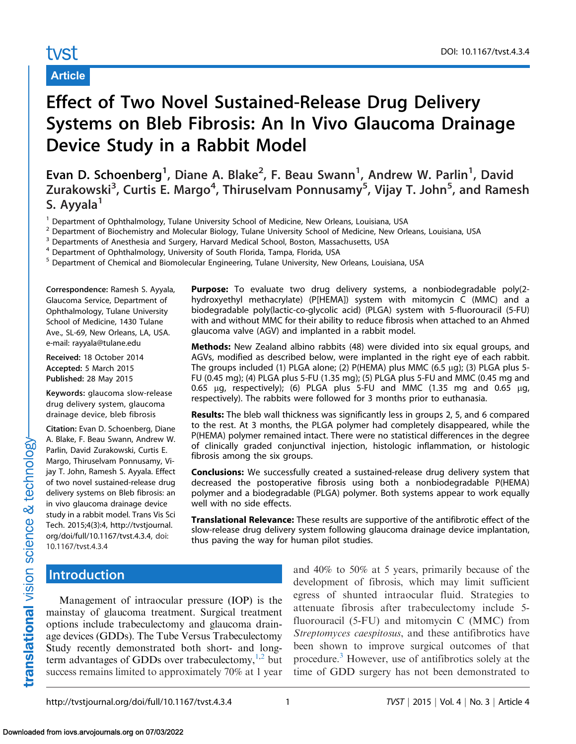# tyst

## Article

# Effect of Two Novel Sustained-Release Drug Delivery Systems on Bleb Fibrosis: An In Vivo Glaucoma Drainage Device Study in a Rabbit Model

Evan D. Schoenberg<sup>1</sup>, Diane A. Blake<sup>2</sup>, F. Beau Swann<sup>1</sup>, Andrew W. Parlin<sup>1</sup>, David Zurakowski<sup>3</sup>, Curtis E. Margo<sup>4</sup>, Thiruselvam Ponnusamy<sup>5</sup>, Vijay T. John<sup>5</sup>, and Ramesh S. Ayyala<sup>1</sup>

<sup>1</sup> Department of Ophthalmology, Tulane University School of Medicine, New Orleans, Louisiana, USA

<sup>2</sup> Department of Biochemistry and Molecular Biology, Tulane University School of Medicine, New Orleans, Louisiana, USA

<sup>3</sup> Departments of Anesthesia and Surgery, Harvard Medical School, Boston, Massachusetts, USA

<sup>4</sup> Department of Ophthalmology, University of South Florida, Tampa, Florida, USA

<sup>5</sup> Department of Chemical and Biomolecular Engineering, Tulane University, New Orleans, Louisiana, USA

Correspondence: Ramesh S. Ayyala, Glaucoma Service, Department of Ophthalmology, Tulane University School of Medicine, 1430 Tulane Ave., SL-69, New Orleans, LA, USA. e-mail: rayyala@tulane.edu

Received: 18 October 2014 Accepted: 5 March 2015 Published: 28 May 2015

Keywords: glaucoma slow-release drug delivery system, glaucoma drainage device, bleb fibrosis

Citation: [Evan D. Schoenberg, Diane](http://tvstjournal.org/doi/full/10.1167/tvst.4.3.4) [A. Blake, F. Beau Swann, Andrew W.](http://tvstjournal.org/doi/full/10.1167/tvst.4.3.4) [Parlin, David Zurakowski, Curtis E.](http://tvstjournal.org/doi/full/10.1167/tvst.4.3.4) [Margo, Thiruselvam Ponnusamy, Vi](http://tvstjournal.org/doi/full/10.1167/tvst.4.3.4)[jay T. John, Ramesh S. Ayyala. Effect](http://tvstjournal.org/doi/full/10.1167/tvst.4.3.4) [of two novel sustained-release drug](http://tvstjournal.org/doi/full/10.1167/tvst.4.3.4) [delivery systems on Bleb fibrosis: an](http://tvstjournal.org/doi/full/10.1167/tvst.4.3.4) [in vivo glaucoma drainage device](http://tvstjournal.org/doi/full/10.1167/tvst.4.3.4) [study in a rabbit model. Trans Vis Sci](http://tvstjournal.org/doi/full/10.1167/tvst.4.3.4) [Tech. 2015;4\(3\):4, http://tvstjournal.](http://tvstjournal.org/doi/full/10.1167/tvst.4.3.4) [org/doi/full/10.1167/tvst.4.3.4, doi:](http://tvstjournal.org/doi/full/10.1167/tvst.4.3.4) [10.1167/tvst.4.3.4](http://tvstjournal.org/doi/full/10.1167/tvst.4.3.4)

Purpose: To evaluate two drug delivery systems, a nonbiodegradable poly(2hydroxyethyl methacrylate) (P[HEMA]) system with mitomycin C (MMC) and a biodegradable poly(lactic-co-glycolic acid) (PLGA) system with 5-fluorouracil (5-FU) with and without MMC for their ability to reduce fibrosis when attached to an Ahmed glaucoma valve (AGV) and implanted in a rabbit model.

**Methods:** New Zealand albino rabbits (48) were divided into six equal groups, and AGVs, modified as described below, were implanted in the right eye of each rabbit. The groups included (1) PLGA alone; (2) P(HEMA) plus MMC (6.5  $\mu$ g); (3) PLGA plus 5-FU (0.45 mg); (4) PLGA plus 5-FU (1.35 mg); (5) PLGA plus 5-FU and MMC (0.45 mg and 0.65  $\mu$ g, respectively); (6) PLGA plus 5-FU and MMC (1.35 mg and 0.65  $\mu$ g, respectively). The rabbits were followed for 3 months prior to euthanasia.

Results: The bleb wall thickness was significantly less in groups 2, 5, and 6 compared to the rest. At 3 months, the PLGA polymer had completely disappeared, while the P(HEMA) polymer remained intact. There were no statistical differences in the degree of clinically graded conjunctival injection, histologic inflammation, or histologic fibrosis among the six groups.

Conclusions: We successfully created a sustained-release drug delivery system that decreased the postoperative fibrosis using both a nonbiodegradable P(HEMA) polymer and a biodegradable (PLGA) polymer. Both systems appear to work equally well with no side effects.

Translational Relevance: These results are supportive of the antifibrotic effect of the slow-release drug delivery system following glaucoma drainage device implantation, thus paving the way for human pilot studies.

## Introduction

translational vision science & technology

Management of intraocular pressure (IOP) is the mainstay of glaucoma treatment. Surgical treatment options include trabeculectomy and glaucoma drainage devices (GDDs). The Tube Versus Trabeculectomy Study recently demonstrated both short- and longterm advantages of GDDs over trabeculectomy, $^{1,2}$  but success remains limited to approximately 70% at 1 year and 40% to 50% at 5 years, primarily because of the development of fibrosis, which may limit sufficient egress of shunted intraocular fluid. Strategies to attenuate fibrosis after trabeculectomy include 5 fluorouracil (5-FU) and mitomycin C (MMC) from Streptomyces caespitosus, and these antifibrotics have been shown to improve surgical outcomes of that procedure.[3](#page-7-0) However, use of antifibrotics solely at the time of GDD surgery has not been demonstrated to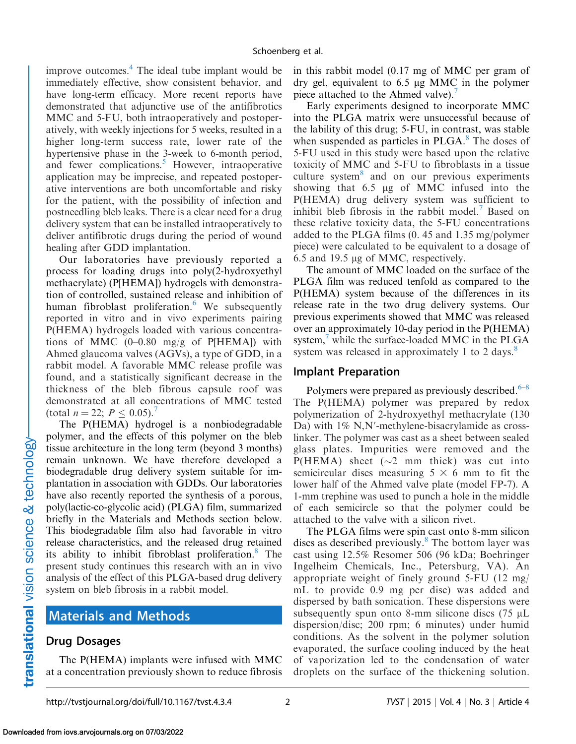improve outcomes. $<sup>4</sup>$  The ideal tube implant would be</sup> immediately effective, show consistent behavior, and have long-term efficacy. More recent reports have demonstrated that adjunctive use of the antifibrotics MMC and 5-FU, both intraoperatively and postoperatively, with weekly injections for 5 weeks, resulted in a higher long-term success rate, lower rate of the hypertensive phase in the 3-week to 6-month period, and fewer complications.<sup>5</sup> However, intraoperative application may be imprecise, and repeated postoperative interventions are both uncomfortable and risky for the patient, with the possibility of infection and postneedling bleb leaks. There is a clear need for a drug delivery system that can be installed intraoperatively to deliver antifibrotic drugs during the period of wound healing after GDD implantation.

Our laboratories have previously reported a process for loading drugs into poly(2-hydroxyethyl methacrylate) (P[HEMA]) hydrogels with demonstration of controlled, sustained release and inhibition of human fibroblast proliferation. $6$  We subsequently reported in vitro and in vivo experiments pairing P(HEMA) hydrogels loaded with various concentrations of MMC  $(0-0.80 \text{ mg/g}$  of P[HEMA]) with Ahmed glaucoma valves (AGVs), a type of GDD, in a rabbit model. A favorable MMC release profile was found, and a statistically significant decrease in the thickness of the bleb fibrous capsule roof was demonstrated at all concentrations of MMC tested (total  $n = 22$ ;  $P \leq 0.05$ ).<sup>[7](#page-7-0)</sup>

The P(HEMA) hydrogel is a nonbiodegradable polymer, and the effects of this polymer on the bleb tissue architecture in the long term (beyond 3 months) remain unknown. We have therefore developed a biodegradable drug delivery system suitable for implantation in association with GDDs. Our laboratories have also recently reported the synthesis of a porous, poly(lactic-co-glycolic acid) (PLGA) film, summarized briefly in the Materials and Methods section below. This biodegradable film also had favorable in vitro release characteristics, and the released drug retained its ability to inhibit fibroblast proliferation.<sup>[8](#page-7-0)</sup> The present study continues this research with an in vivo analysis of the effect of this PLGA-based drug delivery system on bleb fibrosis in a rabbit model.

# Materials and Methods

## Drug Dosages

The P(HEMA) implants were infused with MMC at a concentration previously shown to reduce fibrosis in this rabbit model (0.17 mg of MMC per gram of dry gel, equivalent to  $6.5 \mu$ g MMC in the polymer piece attached to the Ahmed valve).<sup>[7](#page-7-0)</sup>

Early experiments designed to incorporate MMC into the PLGA matrix were unsuccessful because of the lability of this drug; 5-FU, in contrast, was stable when suspended as particles in  $PLGA$ .<sup>[8](#page-7-0)</sup> The doses of 5-FU used in this study were based upon the relative toxicity of MMC and 5-FU to fibroblasts in a tissue culture system $\delta$  and on our previous experiments showing that  $6.5 \mu g$  of MMC infused into the P(HEMA) drug delivery system was sufficient to inhibit bleb fibrosis in the rabbit model. $\frac{7}{1}$  Based on these relative toxicity data, the 5-FU concentrations added to the PLGA films (0. 45 and 1.35 mg/polymer piece) were calculated to be equivalent to a dosage of 6.5 and 19.5 µg of MMC, respectively.

The amount of MMC loaded on the surface of the PLGA film was reduced tenfold as compared to the P(HEMA) system because of the differences in its release rate in the two drug delivery systems. Our previous experiments showed that MMC was released over an approximately 10-day period in the P(HEMA) system, $\frac{7}{1}$  $\frac{7}{1}$  $\frac{7}{1}$  while the surface-loaded MMC in the PLGA system was released in approximately 1 to 2 days. $8$ 

#### Implant Preparation

Polymers were prepared as previously described. $6-8$ The P(HEMA) polymer was prepared by redox polymerization of 2-hydroxyethyl methacrylate (130 Da) with  $1\%$  N,N'-methylene-bisacrylamide as crosslinker. The polymer was cast as a sheet between sealed glass plates. Impurities were removed and the  $P(HEMA)$  sheet ( $\sim$ 2 mm thick) was cut into semicircular discs measuring  $5 \times 6$  mm to fit the lower half of the Ahmed valve plate (model FP-7). A 1-mm trephine was used to punch a hole in the middle of each semicircle so that the polymer could be attached to the valve with a silicon rivet.

The PLGA films were spin cast onto 8-mm silicon discs as described previously. $8$  The bottom layer was cast using 12.5% Resomer 506 (96 kDa; Boehringer Ingelheim Chemicals, Inc., Petersburg, VA). An appropriate weight of finely ground 5-FU (12 mg/ mL to provide 0.9 mg per disc) was added and dispersed by bath sonication. These dispersions were subsequently spun onto 8-mm silicone discs  $(75 \mu L)$ dispersion/disc; 200 rpm; 6 minutes) under humid conditions. As the solvent in the polymer solution evaporated, the surface cooling induced by the heat of vaporization led to the condensation of water droplets on the surface of the thickening solution.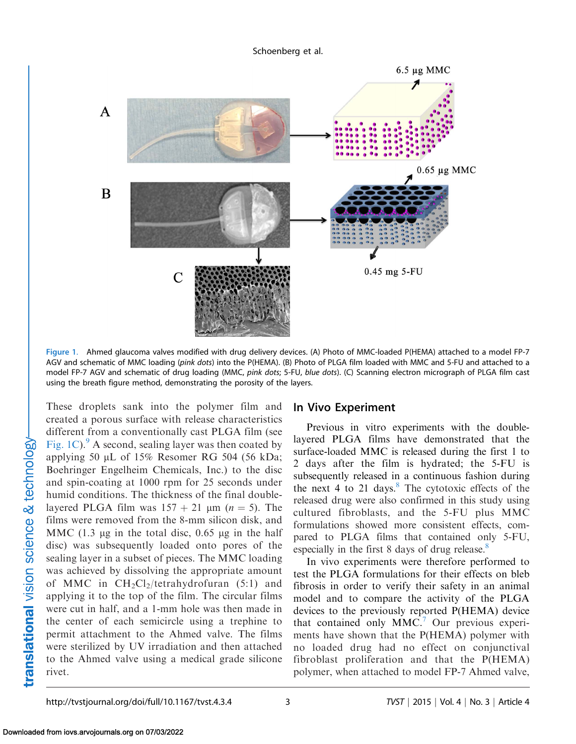Schoenberg et al.

<span id="page-2-0"></span>

Figure 1. Ahmed glaucoma valves modified with drug delivery devices. (A) Photo of MMC-loaded P(HEMA) attached to a model FP-7 AGV and schematic of MMC loading (pink dots) into the P(HEMA). (B) Photo of PLGA film loaded with MMC and 5-FU and attached to a model FP-7 AGV and schematic of drug loading (MMC, pink dots; 5-FU, blue dots). (C) Scanning electron micrograph of PLGA film cast using the breath figure method, demonstrating the porosity of the layers.

These droplets sank into the polymer film and created a porous surface with release characteristics different from a conventionally cast PLGA film (see Fig. 1C). $\degree$  A second, sealing layer was then coated by applying 50  $\mu$ L of 15% Resomer RG 504 (56 kDa; Boehringer Engelheim Chemicals, Inc.) to the disc and spin-coating at 1000 rpm for 25 seconds under humid conditions. The thickness of the final doublelayered PLGA film was  $157 + 21$  µm (n = 5). The films were removed from the 8-mm silicon disk, and MMC  $(1.3 \text{ µg} \text{ in the total disc}, 0.65 \text{ µg} \text{ in the half})$ disc) was subsequently loaded onto pores of the sealing layer in a subset of pieces. The MMC loading was achieved by dissolving the appropriate amount of MMC in  $CH_2Cl_2/tetrahydrofuran$  (5:1) and applying it to the top of the film. The circular films were cut in half, and a 1-mm hole was then made in the center of each semicircle using a trephine to permit attachment to the Ahmed valve. The films were sterilized by UV irradiation and then attached to the Ahmed valve using a medical grade silicone rivet.

#### In Vivo Experiment

Previous in vitro experiments with the doublelayered PLGA films have demonstrated that the surface-loaded MMC is released during the first 1 to 2 days after the film is hydrated; the 5-FU is subsequently released in a continuous fashion during the next 4 to 21 days. $8$  The cytotoxic effects of the released drug were also confirmed in this study using cultured fibroblasts, and the 5-FU plus MMC formulations showed more consistent effects, compared to PLGA films that contained only 5-FU, especially in the first 8 days of drug release.<sup>8</sup>

In vivo experiments were therefore performed to test the PLGA formulations for their effects on bleb fibrosis in order to verify their safety in an animal model and to compare the activity of the PLGA devices to the previously reported P(HEMA) device that contained only  $MMC$ .<sup>7</sup> Our previous experiments have shown that the P(HEMA) polymer with no loaded drug had no effect on conjunctival fibroblast proliferation and that the P(HEMA) polymer, when attached to model FP-7 Ahmed valve,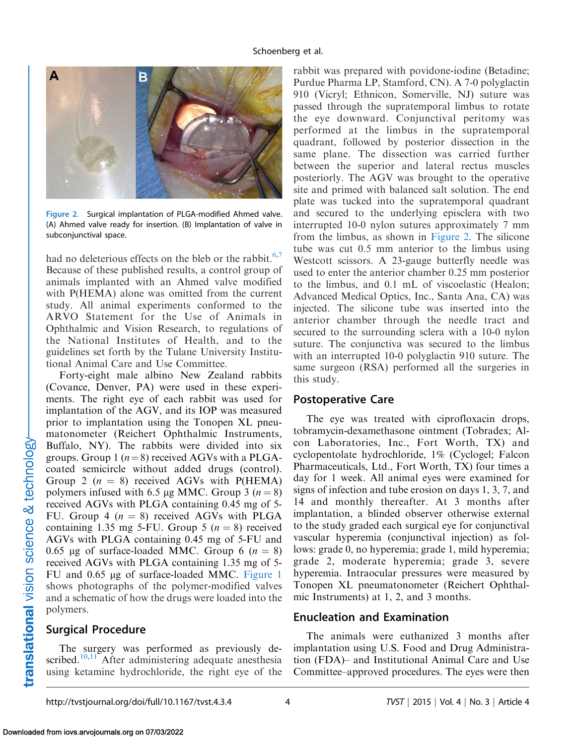

Figure 2. Surgical implantation of PLGA-modified Ahmed valve. (A) Ahmed valve ready for insertion. (B) Implantation of valve in subconjunctival space.

had no deleterious effects on the bleb or the rabbit. $6,7$ Because of these published results, a control group of animals implanted with an Ahmed valve modified with P(HEMA) alone was omitted from the current study. All animal experiments conformed to the ARVO Statement for the Use of Animals in Ophthalmic and Vision Research, to regulations of the National Institutes of Health, and to the guidelines set forth by the Tulane University Institutional Animal Care and Use Committee.

Forty-eight male albino New Zealand rabbits (Covance, Denver, PA) were used in these experiments. The right eye of each rabbit was used for implantation of the AGV, and its IOP was measured prior to implantation using the Tonopen XL pneumatonometer (Reichert Ophthalmic Instruments, Buffalo, NY). The rabbits were divided into six groups. Group 1 ( $n=8$ ) received AGVs with a PLGAcoated semicircle without added drugs (control). Group 2 ( $n = 8$ ) received AGVs with P(HEMA) polymers infused with 6.5 µg MMC. Group 3 ( $n = 8$ ) received AGVs with PLGA containing 0.45 mg of 5- FU. Group 4 ( $n = 8$ ) received AGVs with PLGA containing 1.35 mg 5-FU. Group 5  $(n = 8)$  received AGVs with PLGA containing 0.45 mg of 5-FU and 0.65 µg of surface-loaded MMC. Group 6 ( $n = 8$ ) received AGVs with PLGA containing 1.35 mg of 5- FU and 0.65 µg of surface-loaded MMC. [Figure 1](#page-2-0) shows photographs of the polymer-modified valves and a schematic of how the drugs were loaded into the polymers.

### Surgical Procedure

The surgery was performed as previously de-scribed.<sup>[10,11](#page-7-0)</sup> After administering adequate anesthesia using ketamine hydrochloride, the right eye of the

rabbit was prepared with povidone-iodine (Betadine; Purdue Pharma LP, Stamford, CN). A 7-0 polyglactin 910 (Vicryl; Ethnicon, Somerville, NJ) suture was passed through the supratemporal limbus to rotate the eye downward. Conjunctival peritomy was performed at the limbus in the supratemporal quadrant, followed by posterior dissection in the same plane. The dissection was carried further between the superior and lateral rectus muscles posteriorly. The AGV was brought to the operative site and primed with balanced salt solution. The end plate was tucked into the supratemporal quadrant and secured to the underlying episclera with two interrupted 10-0 nylon sutures approximately 7 mm from the limbus, as shown in Figure 2. The silicone tube was cut 0.5 mm anterior to the limbus using Westcott scissors. A 23-gauge butterfly needle was used to enter the anterior chamber 0.25 mm posterior to the limbus, and 0.1 mL of viscoelastic (Healon; Advanced Medical Optics, Inc., Santa Ana, CA) was injected. The silicone tube was inserted into the anterior chamber through the needle tract and secured to the surrounding sclera with a 10-0 nylon suture. The conjunctiva was secured to the limbus with an interrupted 10-0 polyglactin 910 suture. The same surgeon (RSA) performed all the surgeries in this study.

#### Postoperative Care

The eye was treated with ciprofloxacin drops, tobramycin-dexamethasone ointment (Tobradex; Alcon Laboratories, Inc., Fort Worth, TX) and cyclopentolate hydrochloride, 1% (Cyclogel; Falcon Pharmaceuticals, Ltd., Fort Worth, TX) four times a day for 1 week. All animal eyes were examined for signs of infection and tube erosion on days 1, 3, 7, and 14 and monthly thereafter. At 3 months after implantation, a blinded observer otherwise external to the study graded each surgical eye for conjunctival vascular hyperemia (conjunctival injection) as follows: grade 0, no hyperemia; grade 1, mild hyperemia; grade 2, moderate hyperemia; grade 3, severe hyperemia. Intraocular pressures were measured by Tonopen XL pneumatonometer (Reichert Ophthalmic Instruments) at 1, 2, and 3 months.

### Enucleation and Examination

The animals were euthanized 3 months after implantation using U.S. Food and Drug Administration (FDA)– and Institutional Animal Care and Use Committee–approved procedures. The eyes were then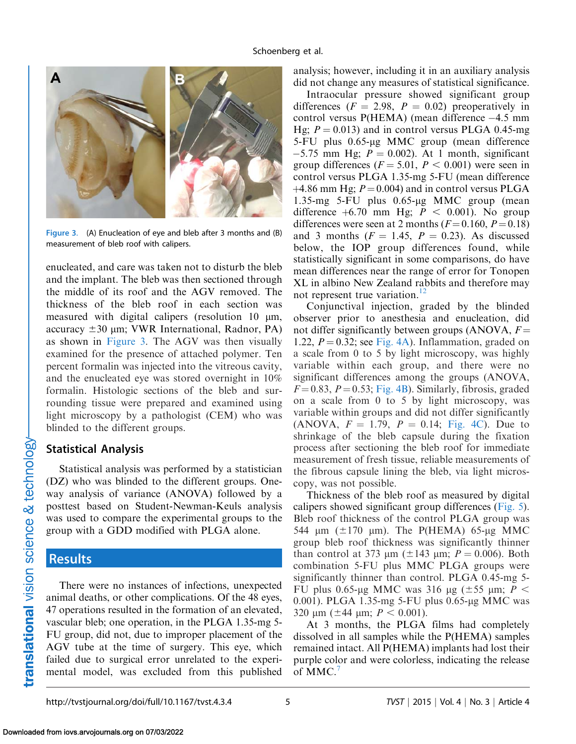<span id="page-4-0"></span>

Figure 3. (A) Enucleation of eye and bleb after 3 months and (B) measurement of bleb roof with calipers.

enucleated, and care was taken not to disturb the bleb and the implant. The bleb was then sectioned through the middle of its roof and the AGV removed. The thickness of the bleb roof in each section was measured with digital calipers (resolution 10 µm, accuracy  $\pm 30$  µm; VWR International, Radnor, PA) as shown in Figure 3. The AGV was then visually examined for the presence of attached polymer. Ten percent formalin was injected into the vitreous cavity, and the enucleated eye was stored overnight in 10% formalin. Histologic sections of the bleb and surrounding tissue were prepared and examined using light microscopy by a pathologist (CEM) who was blinded to the different groups.

#### Statistical Analysis

Statistical analysis was performed by a statistician (DZ) who was blinded to the different groups. Oneway analysis of variance (ANOVA) followed by a posttest based on Student-Newman-Keuls analysis was used to compare the experimental groups to the group with a GDD modified with PLGA alone.

## Results

There were no instances of infections, unexpected animal deaths, or other complications. Of the 48 eyes, 47 operations resulted in the formation of an elevated, vascular bleb; one operation, in the PLGA 1.35-mg 5- FU group, did not, due to improper placement of the AGV tube at the time of surgery. This eye, which failed due to surgical error unrelated to the experimental model, was excluded from this published analysis; however, including it in an auxiliary analysis did not change any measures of statistical significance.

Intraocular pressure showed significant group differences ( $F = 2.98$ ,  $P = 0.02$ ) preoperatively in control versus  $P(HEMA)$  (mean difference  $-4.5$  mm Hg;  $P = 0.013$ ) and in control versus PLGA 0.45-mg 5-FU plus 0.65-µg MMC group (mean difference  $-5.75$  mm Hg;  $P = 0.002$ ). At 1 month, significant group differences ( $F = 5.01$ ,  $P < 0.001$ ) were seen in control versus PLGA 1.35-mg 5-FU (mean difference  $+4.86$  mm Hg;  $P = 0.004$ ) and in control versus PLGA 1.35-mg 5-FU plus  $0.65$ -µg MMC group (mean difference  $+6.70$  mm Hg;  $P < 0.001$ ). No group differences were seen at 2 months ( $F = 0.160$ ,  $P = 0.18$ ) and 3 months ( $F = 1.45$ ,  $P = 0.23$ ). As discussed below, the IOP group differences found, while statistically significant in some comparisons, do have mean differences near the range of error for Tonopen XL in albino New Zealand rabbits and therefore may not represent true variation.<sup>12</sup>

Conjunctival injection, graded by the blinded observer prior to anesthesia and enucleation, did not differ significantly between groups (ANOVA,  $F =$ 1.22,  $P = 0.32$ ; see [Fig. 4A](#page-5-0)). Inflammation, graded on a scale from 0 to 5 by light microscopy, was highly variable within each group, and there were no significant differences among the groups (ANOVA,  $F=0.83$ ,  $P=0.53$ ; [Fig. 4B\)](#page-5-0). Similarly, fibrosis, graded on a scale from 0 to 5 by light microscopy, was variable within groups and did not differ significantly (ANOVA,  $F = 1.79$ ,  $P = 0.14$ ; [Fig. 4C](#page-5-0)). Due to shrinkage of the bleb capsule during the fixation process after sectioning the bleb roof for immediate measurement of fresh tissue, reliable measurements of the fibrous capsule lining the bleb, via light microscopy, was not possible.

Thickness of the bleb roof as measured by digital calipers showed significant group differences ([Fig. 5](#page-5-0)). Bleb roof thickness of the control PLGA group was 544  $\mu$ m ( $\pm$ 170  $\mu$ m). The P(HEMA) 65- $\mu$ g MMC group bleb roof thickness was significantly thinner than control at 373  $\mu$ m ( $\pm$ 143  $\mu$ m;  $P = 0.006$ ). Both combination 5-FU plus MMC PLGA groups were significantly thinner than control. PLGA 0.45-mg 5- FU plus 0.65-µg MMC was 316 µg ( $\pm$ 55 µm; P < 0.001). PLGA 1.35-mg 5-FU plus 0.65-µg MMC was 320  $\mu$ m ( $\pm$ 44  $\mu$ m;  $P < 0.001$ ).

At 3 months, the PLGA films had completely dissolved in all samples while the P(HEMA) samples remained intact. All P(HEMA) implants had lost their purple color and were colorless, indicating the release of MMC.<sup>[7](#page-7-0)</sup>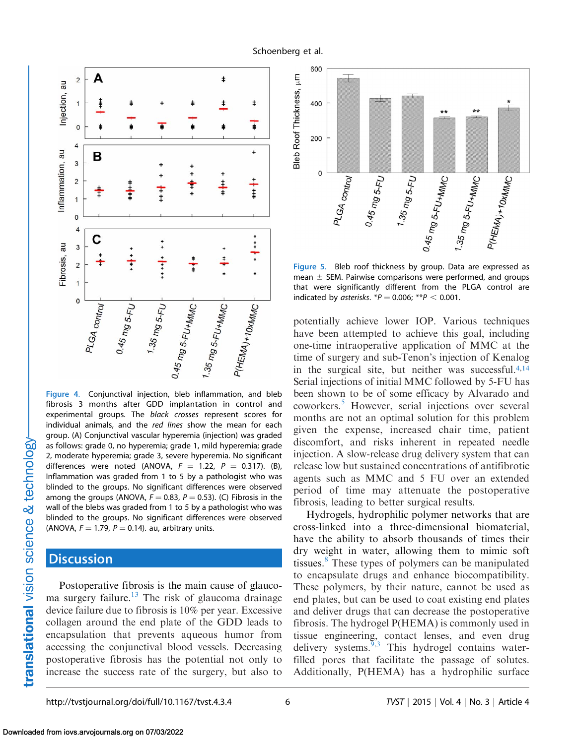<span id="page-5-0"></span>

Figure 4. Conjunctival injection, bleb inflammation, and bleb fibrosis 3 months after GDD implantation in control and experimental groups. The black crosses represent scores for individual animals, and the red lines show the mean for each group. (A) Conjunctival vascular hyperemia (injection) was graded as follows: grade 0, no hyperemia; grade 1, mild hyperemia; grade 2, moderate hyperemia; grade 3, severe hyperemia. No significant differences were noted (ANOVA,  $F = 1.22$ ,  $P = 0.317$ ). (B), Inflammation was graded from 1 to 5 by a pathologist who was blinded to the groups. No significant differences were observed among the groups (ANOVA,  $F = 0.83$ ,  $P = 0.53$ ). (C) Fibrosis in the wall of the blebs was graded from 1 to 5 by a pathologist who was blinded to the groups. No significant differences were observed (ANOVA,  $F = 1.79$ ,  $P = 0.14$ ). au, arbitrary units.

## **Discussion**

Postoperative fibrosis is the main cause of glaucoma surgery failure.<sup>13</sup> The risk of glaucoma drainage device failure due to fibrosis is 10% per year. Excessive collagen around the end plate of the GDD leads to encapsulation that prevents aqueous humor from accessing the conjunctival blood vessels. Decreasing postoperative fibrosis has the potential not only to increase the success rate of the surgery, but also to



Figure 5. Bleb roof thickness by group. Data are expressed as mean  $\pm$  SEM. Pairwise comparisons were performed, and groups that were significantly different from the PLGA control are indicated by asterisks.  $P = 0.006$ ; \*\*P < 0.001.

potentially achieve lower IOP. Various techniques have been attempted to achieve this goal, including one-time intraoperative application of MMC at the time of surgery and sub-Tenon's injection of Kenalog in the surgical site, but neither was successful.[4,](#page-7-0)[14](#page-8-0) Serial injections of initial MMC followed by 5-FU has been shown to be of some efficacy by Alvarado and coworkers.[5](#page-7-0) However, serial injections over several months are not an optimal solution for this problem given the expense, increased chair time, patient discomfort, and risks inherent in repeated needle injection. A slow-release drug delivery system that can release low but sustained concentrations of antifibrotic agents such as MMC and 5 FU over an extended period of time may attenuate the postoperative fibrosis, leading to better surgical results.

Hydrogels, hydrophilic polymer networks that are cross-linked into a three-dimensional biomaterial, have the ability to absorb thousands of times their dry weight in water, allowing them to mimic soft tissues.<sup>[8](#page-7-0)</sup> These types of polymers can be manipulated to encapsulate drugs and enhance biocompatibility. These polymers, by their nature, cannot be used as end plates, but can be used to coat existing end plates and deliver drugs that can decrease the postoperative fibrosis. The hydrogel P(HEMA) is commonly used in tissue engineering, contact lenses, and even drug delivery systems. $9,3$  This hydrogel contains waterfilled pores that facilitate the passage of solutes. Additionally, P(HEMA) has a hydrophilic surface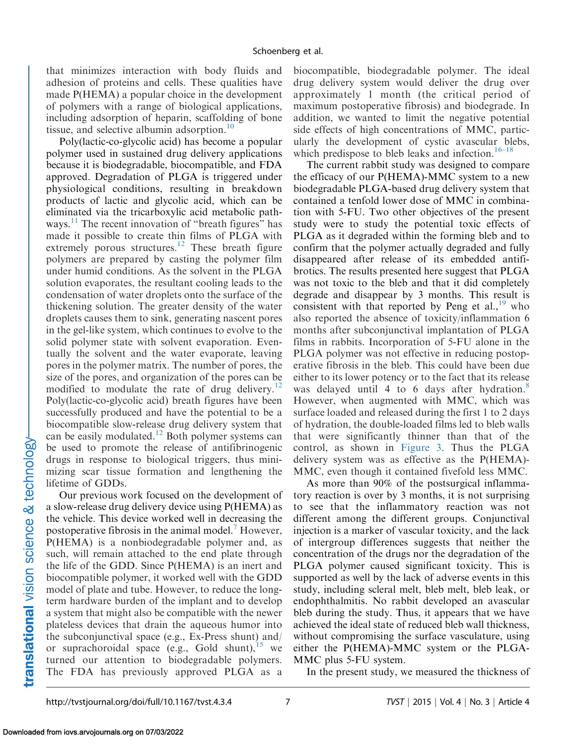that minimizes interaction with body fluids and adhesion of proteins and cells. These qualities have made P(HEMA) a popular choice in the development of polymers with a range of biological applications, including adsorption of heparin, scaffolding of bone tissue, and selective albumin adsorption. $10$ 

Poly(lactic-co-glycolic acid) has become a popular polymer used in sustained drug delivery applications because it is biodegradable, biocompatible, and FDA approved. Degradation of PLGA is triggered under physiological conditions, resulting in breakdown products of lactic and glycolic acid, which can be eliminated via the tricarboxylic acid metabolic pathways.<sup>11</sup> The recent innovation of "breath figures" has made it possible to create thin films of PLGA with extremely porous structures.<sup>12</sup> These breath figure polymers are prepared by casting the polymer film under humid conditions. As the solvent in the PLGA solution evaporates, the resultant cooling leads to the condensation of water droplets onto the surface of the thickening solution. The greater density of the water droplets causes them to sink, generating nascent pores in the gel-like system, which continues to evolve to the solid polymer state with solvent evaporation. Eventually the solvent and the water evaporate, leaving pores in the polymer matrix. The number of pores, the size of the pores, and organization of the pores can be modified to modulate the rate of drug delivery.<sup>[12](#page-7-0)</sup> Poly(lactic-co-glycolic acid) breath figures have been successfully produced and have the potential to be a biocompatible slow-release drug delivery system that can be easily modulated.<sup>12</sup> Both polymer systems can be used to promote the release of antifibrinogenic drugs in response to biological triggers, thus minimizing scar tissue formation and lengthening the lifetime of GDDs.

Our previous work focused on the development of a slow-release drug delivery device using P(HEMA) as the vehicle. This device worked well in decreasing the postoperative fibrosis in the animal model[.7](#page-7-0) However, P(HEMA) is a nonbiodegradable polymer and, as such, will remain attached to the end plate through the life of the GDD. Since P(HEMA) is an inert and biocompatible polymer, it worked well with the GDD model of plate and tube. However, to reduce the longterm hardware burden of the implant and to develop a system that might also be compatible with the newer plateless devices that drain the aqueous humor into the subconjunctival space (e.g., Ex-Press shunt) and/ or suprachoroidal space (e.g., Gold shunt), <sup>[15](#page-8-0)</sup> we turned our attention to biodegradable polymers. The FDA has previously approved PLGA as a

biocompatible, biodegradable polymer. The ideal drug delivery system would deliver the drug over approximately 1 month (the critical period of maximum postoperative fibrosis) and biodegrade. In addition, we wanted to limit the negative potential side effects of high concentrations of MMC, particularly the development of cystic avascular blebs, which predispose to bleb leaks and infection.<sup>16–18</sup>

The current rabbit study was designed to compare the efficacy of our P(HEMA)-MMC system to a new biodegradable PLGA-based drug delivery system that contained a tenfold lower dose of MMC in combination with 5-FU. Two other objectives of the present study were to study the potential toxic effects of PLGA as it degraded within the forming bleb and to confirm that the polymer actually degraded and fully disappeared after release of its embedded antifibrotics. The results presented here suggest that PLGA was not toxic to the bleb and that it did completely degrade and disappear by 3 months. This result is consistent with that reported by Peng et al.,  $^{19}$  $^{19}$  $^{19}$  who also reported the absence of toxicity/inflammation 6 months after subconjunctival implantation of PLGA films in rabbits. Incorporation of 5-FU alone in the PLGA polymer was not effective in reducing postoperative fibrosis in the bleb. This could have been due either to its lower potency or to the fact that its release was delayed until 4 to 6 days after hydration.<sup>[8](#page-7-0)</sup> However, when augmented with MMC, which was surface loaded and released during the first 1 to 2 days of hydration, the double-loaded films led to bleb walls that were significantly thinner than that of the control, as shown in [Figure 3](#page-4-0). Thus the PLGA delivery system was as effective as the P(HEMA)- MMC, even though it contained fivefold less MMC.

As more than 90% of the postsurgical inflammatory reaction is over by 3 months, it is not surprising to see that the inflammatory reaction was not different among the different groups. Conjunctival injection is a marker of vascular toxicity, and the lack of intergroup differences suggests that neither the concentration of the drugs nor the degradation of the PLGA polymer caused significant toxicity. This is supported as well by the lack of adverse events in this study, including scleral melt, bleb melt, bleb leak, or endophthalmitis. No rabbit developed an avascular bleb during the study. Thus, it appears that we have achieved the ideal state of reduced bleb wall thickness, without compromising the surface vasculature, using either the P(HEMA)-MMC system or the PLGA-MMC plus 5-FU system.

In the present study, we measured the thickness of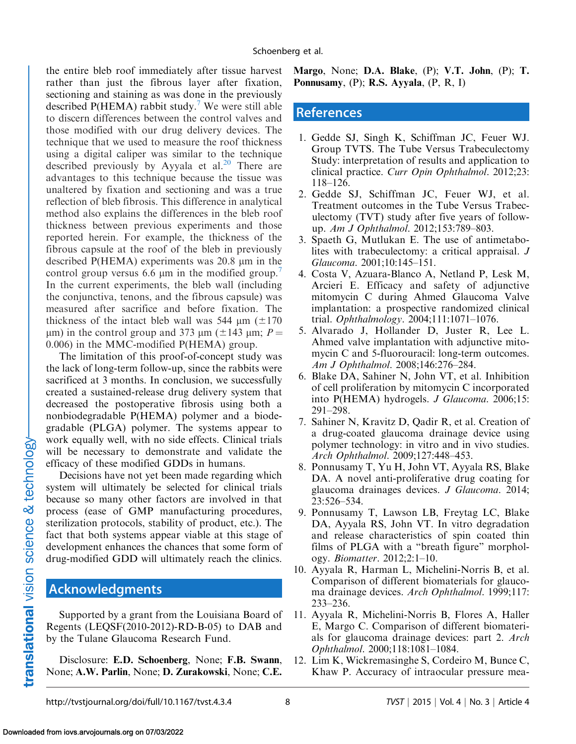<span id="page-7-0"></span>the entire bleb roof immediately after tissue harvest rather than just the fibrous layer after fixation, sectioning and staining as was done in the previously described  $P(HEMA)$  rabbit study.<sup>7</sup> We were still able to discern differences between the control valves and those modified with our drug delivery devices. The technique that we used to measure the roof thickness using a digital caliper was similar to the technique described previously by Ayyala et al.<sup>20</sup> There are advantages to this technique because the tissue was unaltered by fixation and sectioning and was a true reflection of bleb fibrosis. This difference in analytical method also explains the differences in the bleb roof thickness between previous experiments and those reported herein. For example, the thickness of the fibrous capsule at the roof of the bleb in previously described P(HEMA) experiments was 20.8 lm in the control group versus 6.6  $\mu$ m in the modified group.<sup>7</sup> In the current experiments, the bleb wall (including the conjunctiva, tenons, and the fibrous capsule) was measured after sacrifice and before fixation. The thickness of the intact bleb wall was 544  $\mu$ m ( $\pm$ 170  $\mu$ m) in the control group and 373  $\mu$ m ( $\pm$ 143  $\mu$ m; P = 0.006) in the MMC-modified P(HEMA) group.

The limitation of this proof-of-concept study was the lack of long-term follow-up, since the rabbits were sacrificed at 3 months. In conclusion, we successfully created a sustained-release drug delivery system that decreased the postoperative fibrosis using both a nonbiodegradable P(HEMA) polymer and a biodegradable (PLGA) polymer. The systems appear to work equally well, with no side effects. Clinical trials will be necessary to demonstrate and validate the efficacy of these modified GDDs in humans.

Decisions have not yet been made regarding which system will ultimately be selected for clinical trials because so many other factors are involved in that process (ease of GMP manufacturing procedures, sterilization protocols, stability of product, etc.). The fact that both systems appear viable at this stage of development enhances the chances that some form of drug-modified GDD will ultimately reach the clinics.

## Acknowledgments

Supported by a grant from the Louisiana Board of Regents (LEQSF(2010-2012)-RD-B-05) to DAB and by the Tulane Glaucoma Research Fund.

Disclosure: E.D. Schoenberg, None; F.B. Swann, None; A.W. Parlin, None; D. Zurakowski, None; C.E. Margo, None; D.A. Blake,  $(P)$ ; V.T. John,  $(P)$ ; T. Ponnusamy, (P); R.S. Ayyala, (P, R, I)

# References

- 1. Gedde SJ, Singh K, Schiffman JC, Feuer WJ. Group TVTS. The Tube Versus Trabeculectomy Study: interpretation of results and application to clinical practice. Curr Opin Ophthalmol. 2012;23: 118–126.
- 2. Gedde SJ, Schiffman JC, Feuer WJ, et al. Treatment outcomes in the Tube Versus Trabeculectomy (TVT) study after five years of followup. Am J Ophthalmol. 2012;153:789–803.
- 3. Spaeth G, Mutlukan E. The use of antimetabolites with trabeculectomy: a critical appraisal. J Glaucoma. 2001;10:145–151.
- 4. Costa V, Azuara-Blanco A, Netland P, Lesk M, Arcieri E. Efficacy and safety of adjunctive mitomycin C during Ahmed Glaucoma Valve implantation: a prospective randomized clinical trial. Ophthalmology. 2004;111:1071–1076.
- 5. Alvarado J, Hollander D, Juster R, Lee L. Ahmed valve implantation with adjunctive mitomycin C and 5-fluorouracil: long-term outcomes. Am J Ophthalmol. 2008;146:276–284.
- 6. Blake DA, Sahiner N, John VT, et al. Inhibition of cell proliferation by mitomycin C incorporated into P(HEMA) hydrogels. J Glaucoma. 2006;15: 291–298.
- 7. Sahiner N, Kravitz D, Qadir R, et al. Creation of a drug-coated glaucoma drainage device using polymer technology: in vitro and in vivo studies. Arch Ophthalmol. 2009;127:448–453.
- 8. Ponnusamy T, Yu H, John VT, Ayyala RS, Blake DA. A novel anti-proliferative drug coating for glaucoma drainages devices. J Glaucoma. 2014; 23:526–534.
- 9. Ponnusamy T, Lawson LB, Freytag LC, Blake DA, Ayyala RS, John VT. In vitro degradation and release characteristics of spin coated thin films of PLGA with a ''breath figure'' morphology. Biomatter. 2012;2:1–10.
- 10. Ayyala R, Harman L, Michelini-Norris B, et al. Comparison of different biomaterials for glaucoma drainage devices. Arch Ophthalmol. 1999;117: 233–236.
- 11. Ayyala R, Michelini-Norris B, Flores A, Haller E, Margo C. Comparison of different biomaterials for glaucoma drainage devices: part 2. Arch Ophthalmol. 2000;118:1081–1084.
- 12. Lim K, Wickremasinghe S, Cordeiro M, Bunce C, Khaw P. Accuracy of intraocular pressure mea-